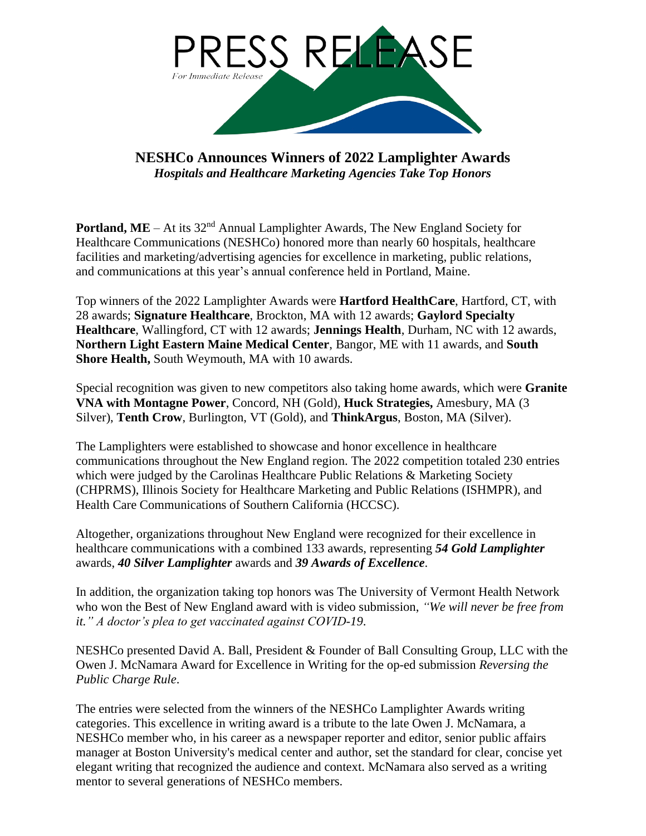

**NESHCo Announces Winners of 2022 Lamplighter Awards** *Hospitals and Healthcare Marketing Agencies Take Top Honors*

**Portland, ME** – At its 32<sup>nd</sup> Annual Lamplighter Awards, The New England Society for Healthcare Communications (NESHCo) honored more than nearly 60 hospitals, healthcare facilities and marketing/advertising agencies for excellence in marketing, public relations, and communications at this year's annual conference held in Portland, Maine.

Top winners of the 2022 Lamplighter Awards were **Hartford HealthCare**, Hartford, CT, with 28 awards; **Signature Healthcare**, Brockton, MA with 12 awards; **Gaylord Specialty Healthcare**, Wallingford, CT with 12 awards; **Jennings Health**, Durham, NC with 12 awards, **Northern Light Eastern Maine Medical Center**, Bangor, ME with 11 awards, and **South Shore Health,** South Weymouth, MA with 10 awards.

Special recognition was given to new competitors also taking home awards, which were **Granite VNA with Montagne Power**, Concord, NH (Gold), **Huck Strategies,** Amesbury, MA (3 Silver), **Tenth Crow**, Burlington, VT (Gold), and **ThinkArgus**, Boston, MA (Silver).

The Lamplighters were established to showcase and honor excellence in healthcare communications throughout the New England region. The 2022 competition totaled 230 entries which were judged by the Carolinas Healthcare Public Relations & Marketing Society (CHPRMS), Illinois Society for Healthcare Marketing and Public Relations (ISHMPR), and Health Care Communications of Southern California (HCCSC).

Altogether, organizations throughout New England were recognized for their excellence in healthcare communications with a combined 133 awards, representing *54 Gold Lamplighter* awards, *40 Silver Lamplighter* awards and *39 Awards of Excellence*.

In addition, the organization taking top honors was The University of Vermont Health Network who won the Best of New England award with is video submission, *"We will never be free from it." A doctor's plea to get vaccinated against COVID-19*.

NESHCo presented David A. Ball, President & Founder of Ball Consulting Group, LLC with the Owen J. McNamara Award for Excellence in Writing for the op-ed submission *Reversing the Public Charge Rule*.

The entries were selected from the winners of the NESHCo Lamplighter Awards writing categories. This excellence in writing award is a tribute to the late Owen J. McNamara, a NESHCo member who, in his career as a newspaper reporter and editor, senior public affairs manager at Boston University's medical center and author, set the standard for clear, concise yet elegant writing that recognized the audience and context. McNamara also served as a writing mentor to several generations of NESHCo members.